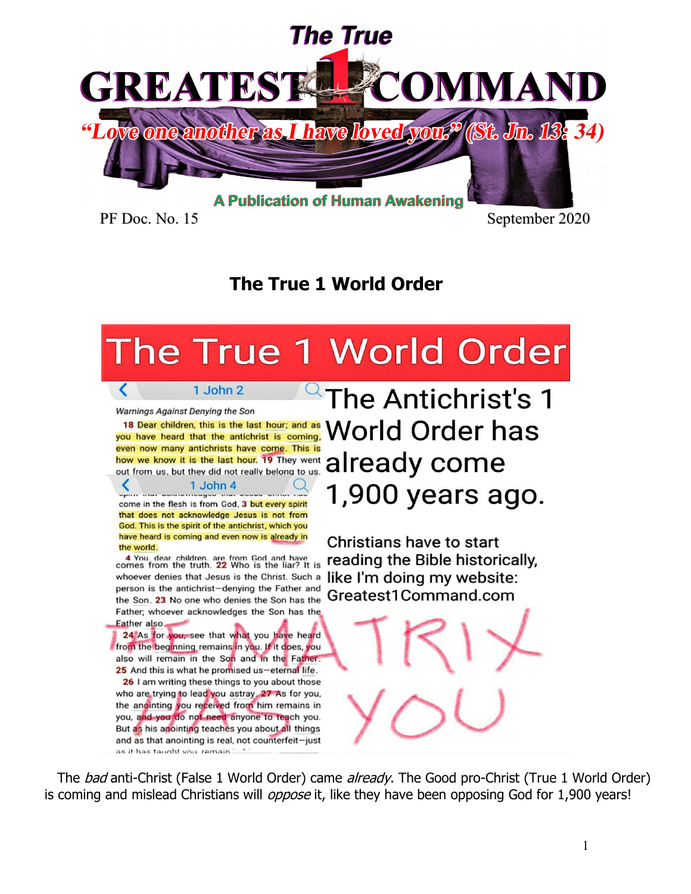

PF Doc. No. 15 September 2020

# **The True 1 World Order**

# The True 1 World Order

Warnings Against Denying the Son

18 Dear children, this is the last hour; and as you have heard that the antichrist is coming. even now many antichrists have come. This is even now many antichrists have come. This is<br>how we know it is the last hour. 19 They went **all ready** COME

1 John 2

1 John 4 come in the flesh is from God, 3 but every spirit that does not acknowledge Jesus is not from

God. This is the spirit of the antichrist, which you have heard is coming and even now is already in the world.

4 You, dear children, are from God and have<br>comes from the truth. 22 Who is the liar? It is whoever denies that Jesus is the Christ. Such a person is the antichrist-denying the Father and the Son. 23 No one who denies the Son has the Father: whoever acknowledges the Son has the Father also.

24 As for you, see that what you have heard from the beginning remains in you. If it does, you also will remain in the Son and in the Father. 25 And this is what he promised us-eternal life. 26 I am writing these things to you about those who are trying to lead you astray, 27 As for you, the anointing you received from him remains in you, and you do not need anyone to teach you. But as his anointing teaches you about all things and as that anointing is real, not counterfeit-just as it has taught you remain

The Antichrist's 1 **World Order has** 1,900 years ago.

Christians have to start reading the Bible historically. like I'm doing my website: Greatest1Command.com

The *bad* anti-Christ (False 1 World Order) came *already*. The Good pro-Christ (True 1 World Order) is coming and mislead Christians will *oppose* it, like they have been opposing God for 1,900 years!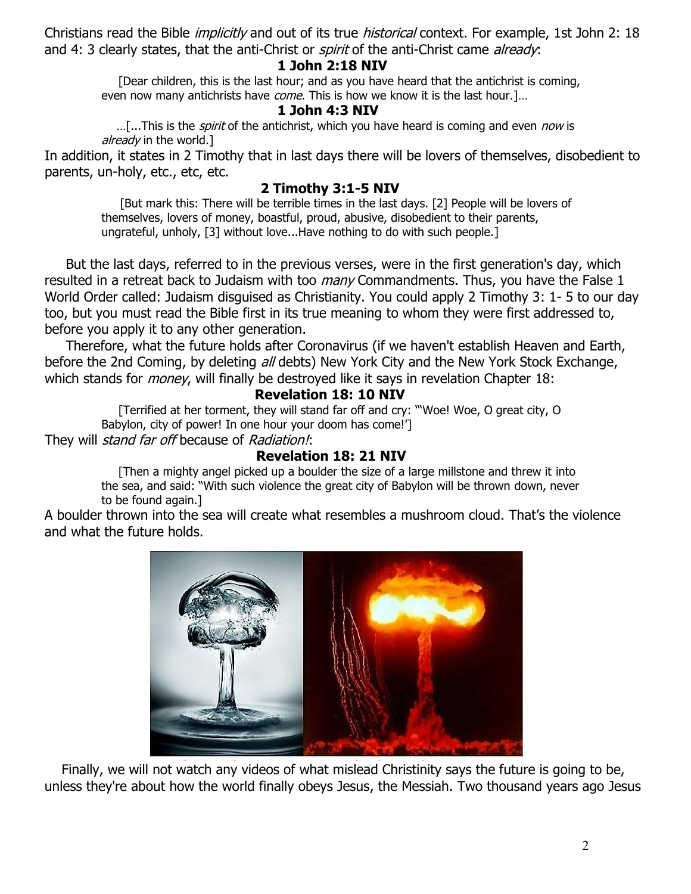Christians read the Bible *implicitly* and out of its true *historical* context. For example, 1st John 2: 18 and 4: 3 clearly states, that the anti-Christ or *spirit* of the anti-Christ came *already*:

## **1 John 2:18 NIV**

 [Dear children, this is the last hour; and as you have heard that the antichrist is coming, even now many antichrists have *come*. This is how we know it is the last hour.]...

## **1 John 4:3 NIV**

...[...This is the *spirit* of the antichrist, which you have heard is coming and even *now* is already in the world.]

In addition, it states in 2 Timothy that in last days there will be lovers of themselves, disobedient to parents, un-holy, etc., etc, etc.

# **2 Timothy 3:1-5 NIV**

 [But mark this: There will be terrible times in the last days. [2] People will be lovers of themselves, lovers of money, boastful, proud, abusive, disobedient to their parents, ungrateful, unholy, [3] without love...Have nothing to do with such people.]

 But the last days, referred to in the previous verses, were in the first generation's day, which resulted in a retreat back to Judaism with too *many* Commandments. Thus, you have the False 1 World Order called: Judaism disguised as Christianity. You could apply 2 Timothy 3: 1- 5 to our day too, but you must read the Bible first in its true meaning to whom they were first addressed to, before you apply it to any other generation.

 Therefore, what the future holds after Coronavirus (if we haven't establish Heaven and Earth, before the 2nd Coming, by deleting all debts) New York City and the New York Stock Exchange, which stands for money, will finally be destroyed like it says in revelation Chapter 18:

# **Revelation 18: 10 NIV**

 [Terrified at her torment, they will stand far off and cry: "'Woe! Woe, O great city, O Babylon, city of power! In one hour your doom has come!'] They will *stand far off* because of Radiation!:

# **Revelation 18: 21 NIV**

 [Then a mighty angel picked up a boulder the size of a large millstone and threw it into the sea, and said: "With such violence the great city of Babylon will be thrown down, never to be found again.]

A boulder thrown into the sea will create what resembles a mushroom cloud. That's the violence and what the future holds.



 Finally, we will not watch any videos of what mislead Christinity says the future is going to be, unless they're about how the world finally obeys Jesus, the Messiah. Two thousand years ago Jesus